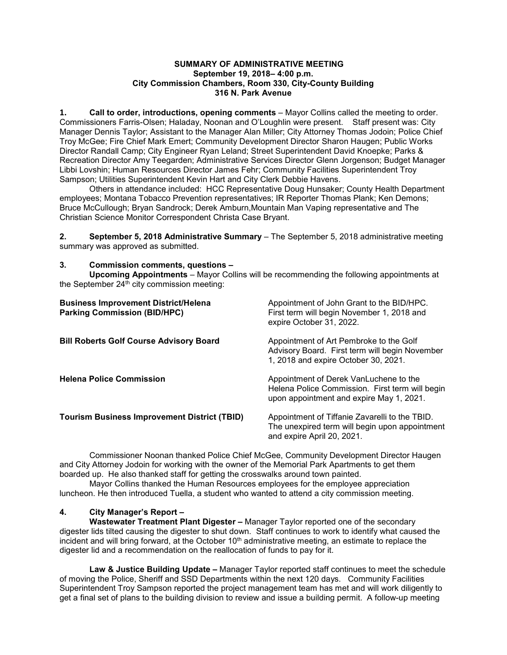# **SUMMARY OF ADMINISTRATIVE MEETING September 19, 2018– 4:00 p.m. City Commission Chambers, Room 330, City-County Building 316 N. Park Avenue**

**1. Call to order, introductions, opening comments** – Mayor Collins called the meeting to order. Commissioners Farris-Olsen; Haladay, Noonan and O'Loughlin were present. Staff present was: City Manager Dennis Taylor; Assistant to the Manager Alan Miller; City Attorney Thomas Jodoin; Police Chief Troy McGee; Fire Chief Mark Emert; Community Development Director Sharon Haugen; Public Works Director Randall Camp; City Engineer Ryan Leland; Street Superintendent David Knoepke; Parks & Recreation Director Amy Teegarden; Administrative Services Director Glenn Jorgenson; Budget Manager Libbi Lovshin; Human Resources Director James Fehr; Community Facilities Superintendent Troy Sampson; Utilities Superintendent Kevin Hart and City Clerk Debbie Havens.

Others in attendance included: HCC Representative Doug Hunsaker; County Health Department employees; Montana Tobacco Prevention representatives; IR Reporter Thomas Plank; Ken Demons; Bruce McCullough; Bryan Sandrock; Derek Amburn,Mountain Man Vaping representative and The Christian Science Monitor Correspondent Christa Case Bryant.

**2. September 5, 2018 Administrative Summary** – The September 5, 2018 administrative meeting summary was approved as submitted.

# **3. Commission comments, questions –**

**Upcoming Appointments** – Mayor Collins will be recommending the following appointments at the September  $24<sup>th</sup>$  city commission meeting:

| <b>Business Improvement District/Helena</b><br><b>Parking Commission (BID/HPC)</b> | Appointment of John Grant to the BID/HPC.<br>First term will begin November 1, 2018 and<br>expire October 31, 2022.                   |
|------------------------------------------------------------------------------------|---------------------------------------------------------------------------------------------------------------------------------------|
| <b>Bill Roberts Golf Course Advisory Board</b>                                     | Appointment of Art Pembroke to the Golf<br>Advisory Board. First term will begin November<br>1, 2018 and expire October 30, 2021.     |
| <b>Helena Police Commission</b>                                                    | Appointment of Derek VanLuchene to the<br>Helena Police Commission. First term will begin<br>upon appointment and expire May 1, 2021. |
| <b>Tourism Business Improvement District (TBID)</b>                                | Appointment of Tiffanie Zavarelli to the TBID.<br>The unexpired term will begin upon appointment<br>and expire April 20, 2021.        |

Commissioner Noonan thanked Police Chief McGee, Community Development Director Haugen and City Attorney Jodoin for working with the owner of the Memorial Park Apartments to get them boarded up. He also thanked staff for getting the crosswalks around town painted.

Mayor Collins thanked the Human Resources employees for the employee appreciation luncheon. He then introduced Tuella, a student who wanted to attend a city commission meeting.

# **4. City Manager's Report –**

**Wastewater Treatment Plant Digester –** Manager Taylor reported one of the secondary digester lids tilted causing the digester to shut down. Staff continues to work to identify what caused the incident and will bring forward, at the October  $10<sup>th</sup>$  administrative meeting, an estimate to replace the digester lid and a recommendation on the reallocation of funds to pay for it.

**Law & Justice Building Update –** Manager Taylor reported staff continues to meet the schedule of moving the Police, Sheriff and SSD Departments within the next 120 days. Community Facilities Superintendent Troy Sampson reported the project management team has met and will work diligently to get a final set of plans to the building division to review and issue a building permit. A follow-up meeting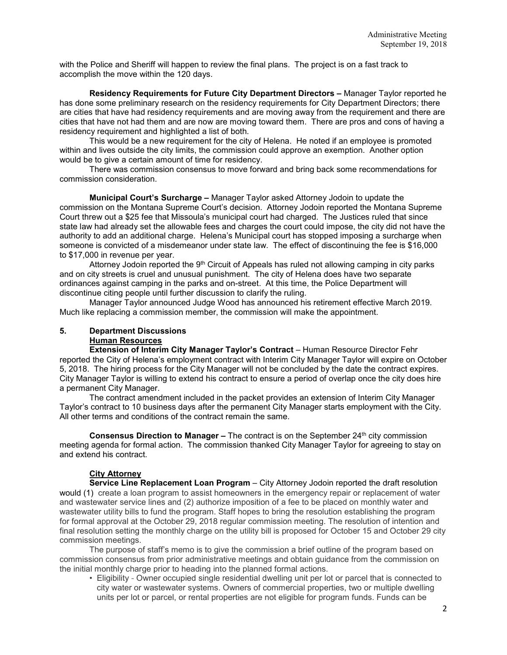with the Police and Sheriff will happen to review the final plans. The project is on a fast track to accomplish the move within the 120 days.

**Residency Requirements for Future City Department Directors –** Manager Taylor reported he has done some preliminary research on the residency requirements for City Department Directors; there are cities that have had residency requirements and are moving away from the requirement and there are cities that have not had them and are now are moving toward them. There are pros and cons of having a residency requirement and highlighted a list of both.

This would be a new requirement for the city of Helena. He noted if an employee is promoted within and lives outside the city limits, the commission could approve an exemption. Another option would be to give a certain amount of time for residency.

There was commission consensus to move forward and bring back some recommendations for commission consideration.

**Municipal Court's Surcharge –** Manager Taylor asked Attorney Jodoin to update the commission on the Montana Supreme Court's decision. Attorney Jodoin reported the Montana Supreme Court threw out a \$25 fee that Missoula's municipal court had charged. The Justices ruled that since state law had already set the allowable fees and charges the court could impose, the city did not have the authority to add an additional charge. Helena's Municipal court has stopped imposing a surcharge when someone is convicted of a misdemeanor under state law. The effect of discontinuing the fee is \$16,000 to \$17,000 in revenue per year.

Attorney Jodoin reported the 9th Circuit of Appeals has ruled not allowing camping in city parks and on city streets is cruel and unusual punishment. The city of Helena does have two separate ordinances against camping in the parks and on-street. At this time, the Police Department will discontinue citing people until further discussion to clarify the ruling.

Manager Taylor announced Judge Wood has announced his retirement effective March 2019. Much like replacing a commission member, the commission will make the appointment.

#### **5. Department Discussions Human Resources**

**Extension of Interim City Manager Taylor's Contract** – Human Resource Director Fehr reported the City of Helena's employment contract with Interim City Manager Taylor will expire on October 5, 2018. The hiring process for the City Manager will not be concluded by the date the contract expires. City Manager Taylor is willing to extend his contract to ensure a period of overlap once the city does hire a permanent City Manager.

The contract amendment included in the packet provides an extension of Interim City Manager Taylor's contract to 10 business days after the permanent City Manager starts employment with the City. All other terms and conditions of the contract remain the same.

**Consensus Direction to Manager** – The contract is on the September 24<sup>th</sup> city commission meeting agenda for formal action. The commission thanked City Manager Taylor for agreeing to stay on and extend his contract.

# **City Attorney**

**Service Line Replacement Loan Program** – City Attorney Jodoin reported the draft resolution would (1) create a loan program to assist homeowners in the emergency repair or replacement of water and wastewater service lines and (2) authorize imposition of a fee to be placed on monthly water and wastewater utility bills to fund the program. Staff hopes to bring the resolution establishing the program for formal approval at the October 29, 2018 regular commission meeting. The resolution of intention and final resolution setting the monthly charge on the utility bill is proposed for October 15 and October 29 city commission meetings.

The purpose of staff's memo is to give the commission a brief outline of the program based on commission consensus from prior administrative meetings and obtain guidance from the commission on the initial monthly charge prior to heading into the planned formal actions.

• Eligibility - Owner occupied single residential dwelling unit per lot or parcel that is connected to city water or wastewater systems. Owners of commercial properties, two or multiple dwelling units per lot or parcel, or rental properties are not eligible for program funds. Funds can be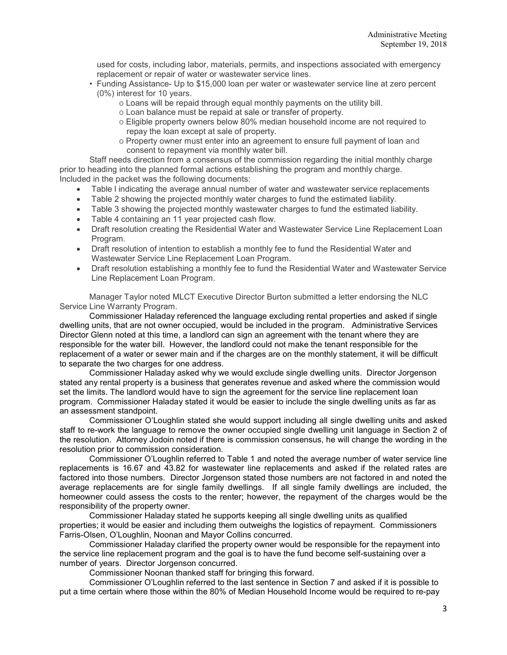used for costs, including labor, materials, permits, and inspections associated with emergency replacement or repair of water or wastewater service lines.

- Funding Assistance- Up to \$15,000 loan per water or wastewater service line at zero percent (0%) interest for 10 years.
	- o Loans will be repaid through equal monthly payments on the utility bill.
	- o Loan balance must be repaid at sale or transfer of property.
	- o Eligible property owners below 80% median household income are not required to repay the loan except at sale of property.
	- o Property owner must enter into an agreement to ensure full payment of loan and consent to repayment via monthly water bill.

Staff needs direction from a consensus of the commission regarding the initial monthly charge prior to heading into the planned formal actions establishing the program and monthly charge. Included in the packet was the following documents:

- Table l indicating the average annual number of water and wastewater service replacements
- Table 2 showing the projected monthly water charges to fund the estimated liability.
- Table 3 showing the projected monthly wastewater charges to fund the estimated liability.
- Table 4 containing an 11 year projected cash flow.
- Draft resolution creating the Residential Water and Wastewater Service Line Replacement Loan Program.
- Draft resolution of intention to establish a monthly fee to fund the Residential Water and Wastewater Service Line Replacement Loan Program.
- Draft resolution establishing a monthly fee to fund the Residential Water and Wastewater Service Line Replacement Loan Program.

Manager Taylor noted MLCT Executive Director Burton submitted a letter endorsing the NLC Service Line Warranty Program.

Commissioner Haladay referenced the language excluding rental properties and asked if single dwelling units, that are not owner occupied, would be included in the program. Administrative Services Director Glenn noted at this time, a landlord can sign an agreement with the tenant where they are responsible for the water bill. However, the landlord could not make the tenant responsible for the replacement of a water or sewer main and if the charges are on the monthly statement, it will be difficult to separate the two charges for one address.

Commissioner Haladay asked why we would exclude single dwelling units. Director Jorgenson stated any rental property is a business that generates revenue and asked where the commission would set the limits. The landlord would have to sign the agreement for the service line replacement loan program. Commissioner Haladay stated it would be easier to include the single dwelling units as far as an assessment standpoint.

Commissioner O'Loughlin stated she would support including all single dwelling units and asked staff to re-work the language to remove the owner occupied single dwelling unit language in Section 2 of the resolution. Attorney Jodoin noted if there is commission consensus, he will change the wording in the resolution prior to commission consideration.

Commissioner O'Loughlin referred to Table 1 and noted the average number of water service line replacements is 16.67 and 43.82 for wastewater line replacements and asked if the related rates are factored into those numbers. Director Jorgenson stated those numbers are not factored in and noted the average replacements are for single family dwellings. If all single family dwellings are included, the homeowner could assess the costs to the renter; however, the repayment of the charges would be the responsibility of the property owner.

Commissioner Haladay stated he supports keeping all single dwelling units as qualified properties; it would be easier and including them outweighs the logistics of repayment. Commissioners Farris-Olsen, O'Loughlin, Noonan and Mayor Collins concurred.

Commissioner Haladay clarified the property owner would be responsible for the repayment into the service line replacement program and the goal is to have the fund become self-sustaining over a number of years. Director Jorgenson concurred.

Commissioner Noonan thanked staff for bringing this forward.

Commissioner O'Loughlin referred to the last sentence in Section 7 and asked if it is possible to put a time certain where those within the 80% of Median Household Income would be required to re-pay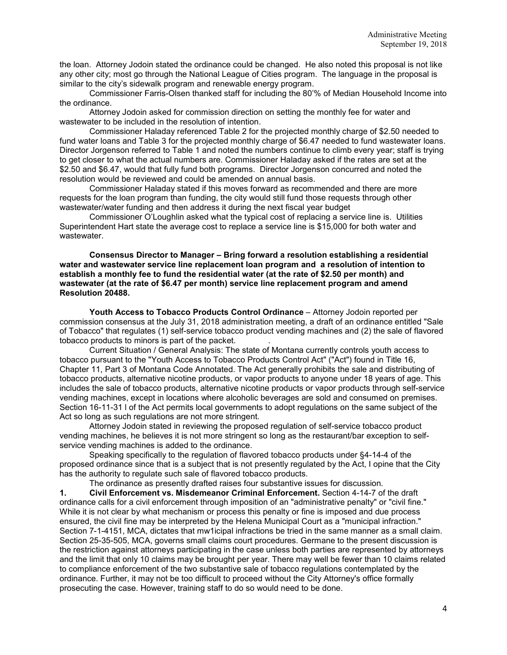the loan. Attorney Jodoin stated the ordinance could be changed. He also noted this proposal is not like any other city; most go through the National League of Cities program. The language in the proposal is similar to the city's sidewalk program and renewable energy program.

Commissioner Farris-Olsen thanked staff for including the 80'% of Median Household Income into the ordinance.

Attorney Jodoin asked for commission direction on setting the monthly fee for water and wastewater to be included in the resolution of intention.

Commissioner Haladay referenced Table 2 for the projected monthly charge of \$2.50 needed to fund water loans and Table 3 for the projected monthly charge of \$6.47 needed to fund wastewater loans. Director Jorgenson referred to Table 1 and noted the numbers continue to climb every year; staff is trying to get closer to what the actual numbers are. Commissioner Haladay asked if the rates are set at the \$2.50 and \$6.47, would that fully fund both programs. Director Jorgenson concurred and noted the resolution would be reviewed and could be amended on annual basis.

Commissioner Haladay stated if this moves forward as recommended and there are more requests for the loan program than funding, the city would still fund those requests through other wastewater/water funding and then address it during the next fiscal year budget

Commissioner O'Loughlin asked what the typical cost of replacing a service line is. Utilities Superintendent Hart state the average cost to replace a service line is \$15,000 for both water and wastewater.

**Consensus Director to Manager – Bring forward a resolution establishing a residential water and wastewater service line replacement loan program and a resolution of intention to establish a monthly fee to fund the residential water (at the rate of \$2.50 per month) and wastewater (at the rate of \$6.47 per month) service line replacement program and amend Resolution 20488.**

**Youth Access to Tobacco Products Control Ordinance** – Attorney Jodoin reported per commission consensus at the July 31, 2018 administration meeting, a draft of an ordinance entitled "Sale of Tobacco" that regulates (1) self-service tobacco product vending machines and (2) the sale of flavored tobacco products to minors is part of the packet. .

Current Situation / General Analysis: The state of Montana currently controls youth access to tobacco pursuant to the "Youth Access to Tobacco Products Control Act" ("Act") found in Title 16, Chapter 11, Part 3 of Montana Code Annotated. The Act generally prohibits the sale and distributing of tobacco products, alternative nicotine products, or vapor products to anyone under 18 years of age. This includes the sale of tobacco products, alternative nicotine products or vapor products through self-service vending machines, except in locations where alcoholic beverages are sold and consumed on premises. Section 16-11-31 l of the Act permits local governments to adopt regulations on the same subject of the Act so long as such regulations are not more stringent.

Attorney Jodoin stated in reviewing the proposed regulation of self-service tobacco product vending machines, he believes it is not more stringent so long as the restaurant/bar exception to selfservice vending machines is added to the ordinance.

Speaking specifically to the regulation of flavored tobacco products under §4-14-4 of the proposed ordinance since that is a subject that is not presently regulated by the Act, I opine that the City has the authority to regulate such sale of flavored tobacco products.

The ordinance as presently drafted raises four substantive issues for discussion.

**1. Civil Enforcement vs. Misdemeanor Criminal Enforcement.** Section 4-14-7 of the draft ordinance calls for a civil enforcement through imposition of an "administrative penalty" or "civil fine." While it is not clear by what mechanism or process this penalty or fine is imposed and due process ensured, the civil fine may be interpreted by the Helena Municipal Court as a "municipal infraction." Section 7-1-4151, MCA, dictates that mw1icipal infractions be tried in the same manner as a small claim. Section 25-35-505, MCA, governs small claims court procedures. Germane to the present discussion is the restriction against attorneys participating in the case unless both parties are represented by attorneys and the limit that only 10 claims may be brought per year. There may well be fewer than 10 claims related to compliance enforcement of the two substantive sale of tobacco regulations contemplated by the ordinance. Further, it may not be too difficult to proceed without the City Attorney's office formally prosecuting the case. However, training staff to do so would need to be done.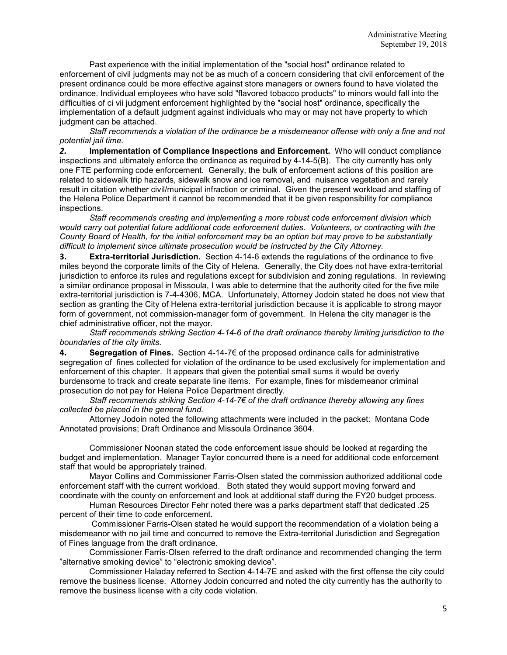Past experience with the initial implementation of the "social host" ordinance related to enforcement of civil judgments may not be as much of a concern considering that civil enforcement of the present ordinance could be more effective against store managers or owners found to have violated the ordinance. Individual employees who have sold "flavored tobacco products" to minors would fall into the difficulties of ci vii judgment enforcement highlighted by the "social host" ordinance, specifically the implementation of a default judgment against individuals who may or may not have property to which judgment can be attached.

*Staff recommends a violation of the ordinance be a misdemeanor offense with only a fine and not potential jail time.*

*2.* **Implementation of Compliance Inspections and Enforcement.** Who will conduct compliance inspections and ultimately enforce the ordinance as required by 4-14-5(B). The city currently has only one FTE performing code enforcement. Generally, the bulk of enforcement actions of this position are related to sidewalk trip hazards, sidewalk snow and ice removal, and nuisance vegetation and rarely result in citation whether civil/municipal infraction or criminal. Given the present workload and staffing of the Helena Police Department it cannot be recommended that it be given responsibility for compliance inspections.

*Staff recommends creating and implementing a more robust code enforcement division which would carry out potential future additional code enforcement duties. Volunteers, or contracting with the County Board of Health, for the initial enforcement may be an option but may prove to be substantially difficult to implement since ultimate prosecution would be instructed by the City Attorney.*

**3. Extra-territorial Jurisdiction.** Section 4-14-6 extends the regulations of the ordinance to five miles beyond the corporate limits of the City of Helena. Generally, the City does not have extra-territorial jurisdiction to enforce its rules and regulations except for subdivision and zoning regulations. In reviewing a similar ordinance proposal in Missoula, I was able to determine that the authority cited for the five mile extra-territorial jurisdiction is 7-4-4306, MCA. Unfortunately, Attorney Jodoin stated he does not view that section as granting the City of Helena extra-territorial jurisdiction because it is applicable to strong mayor form of government, not commission-manager form of government. In Helena the city manager is the chief administrative officer, not the mayor.

*Staff recommends striking Section 4-14-6 of the draft ordinance thereby limiting jurisdiction to the boundaries of the city limits.*

**4. Segregation of Fines.** Section 4-14-7€ of the proposed ordinance calls for administrative segregation of fines collected for violation of the ordinance to be used exclusively for implementation and enforcement of this chapter. It appears that given the potential small sums it would be overly burdensome to track and create separate line items. For example, fines for misdemeanor criminal prosecution do not pay for Helena Police Department directly.

*Staff recommends striking Section 4-14-7€ of the draft ordinance thereby allowing any fines collected be placed in the general fund.*

Attorney Jodoin noted the following attachments were included in the packet: Montana Code Annotated provisions; Draft Ordinance and Missoula Ordinance 3604.

Commissioner Noonan stated the code enforcement issue should be looked at regarding the budget and implementation. Manager Taylor concurred there is a need for additional code enforcement staff that would be appropriately trained.

Mayor Collins and Commissioner Farris-Olsen stated the commission authorized additional code enforcement staff with the current workload. Both stated they would support moving forward and coordinate with the county on enforcement and look at additional staff during the FY20 budget process.

Human Resources Director Fehr noted there was a parks department staff that dedicated .25 percent of their time to code enforcement.

Commissioner Farris-Olsen stated he would support the recommendation of a violation being a misdemeanor with no jail time and concurred to remove the Extra-territorial Jurisdiction and Segregation of Fines language from the draft ordinance.

Commissioner Farris-Olsen referred to the draft ordinance and recommended changing the term "alternative smoking device" to "electronic smoking device".

Commissioner Haladay referred to Section 4-14-7E and asked with the first offense the city could remove the business license. Attorney Jodoin concurred and noted the city currently has the authority to remove the business license with a city code violation.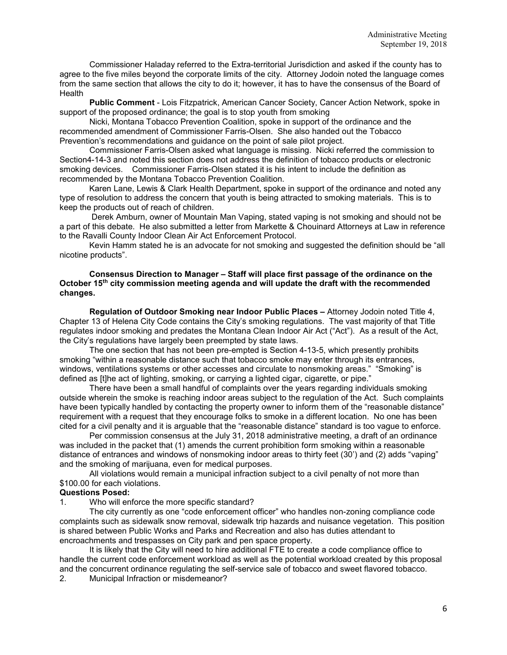Commissioner Haladay referred to the Extra-territorial Jurisdiction and asked if the county has to agree to the five miles beyond the corporate limits of the city. Attorney Jodoin noted the language comes from the same section that allows the city to do it; however, it has to have the consensus of the Board of **Health** 

**Public Comment** - Lois Fitzpatrick, American Cancer Society, Cancer Action Network, spoke in support of the proposed ordinance; the goal is to stop youth from smoking

Nicki, Montana Tobacco Prevention Coalition, spoke in support of the ordinance and the recommended amendment of Commissioner Farris-Olsen. She also handed out the Tobacco Prevention's recommendations and guidance on the point of sale pilot project.

Commissioner Farris-Olsen asked what language is missing. Nicki referred the commission to Section4-14-3 and noted this section does not address the definition of tobacco products or electronic smoking devices. Commissioner Farris-Olsen stated it is his intent to include the definition as recommended by the Montana Tobacco Prevention Coalition.

Karen Lane, Lewis & Clark Health Department, spoke in support of the ordinance and noted any type of resolution to address the concern that youth is being attracted to smoking materials. This is to keep the products out of reach of children.

Derek Amburn, owner of Mountain Man Vaping, stated vaping is not smoking and should not be a part of this debate. He also submitted a letter from Markette & Chouinard Attorneys at Law in reference to the Ravalli County Indoor Clean Air Act Enforcement Protocol.

Kevin Hamm stated he is an advocate for not smoking and suggested the definition should be "all nicotine products".

# **Consensus Direction to Manager – Staff will place first passage of the ordinance on the October 15th city commission meeting agenda and will update the draft with the recommended changes.**

**Regulation of Outdoor Smoking near Indoor Public Places –** Attorney Jodoin noted Title 4, Chapter 13 of Helena City Code contains the City's smoking regulations. The vast majority of that Title regulates indoor smoking and predates the Montana Clean Indoor Air Act ("Act"). As a result of the Act, the City's regulations have largely been preempted by state laws.

The one section that has not been pre-empted is Section 4-13-5, which presently prohibits smoking "within a reasonable distance such that tobacco smoke may enter through its entrances, windows, ventilations systems or other accesses and circulate to nonsmoking areas." "Smoking" is defined as [t]he act of lighting, smoking, or carrying a lighted cigar, cigarette, or pipe."

There have been a small handful of complaints over the years regarding individuals smoking outside wherein the smoke is reaching indoor areas subject to the regulation of the Act. Such complaints have been typically handled by contacting the property owner to inform them of the "reasonable distance" requirement with a request that they encourage folks to smoke in a different location. No one has been cited for a civil penalty and it is arguable that the "reasonable distance" standard is too vague to enforce.

Per commission consensus at the July 31, 2018 administrative meeting, a draft of an ordinance was included in the packet that (1) amends the current prohibition form smoking within a reasonable distance of entrances and windows of nonsmoking indoor areas to thirty feet (30') and (2) adds "vaping" and the smoking of marijuana, even for medical purposes.

All violations would remain a municipal infraction subject to a civil penalty of not more than \$100.00 for each violations.

# **Questions Posed:**

1. Who will enforce the more specific standard?

The city currently as one "code enforcement officer" who handles non-zoning compliance code complaints such as sidewalk snow removal, sidewalk trip hazards and nuisance vegetation. This position is shared between Public Works and Parks and Recreation and also has duties attendant to encroachments and trespasses on City park and pen space property.

It is likely that the City will need to hire additional FTE to create a code compliance office to handle the current code enforcement workload as well as the potential workload created by this proposal and the concurrent ordinance regulating the self-service sale of tobacco and sweet flavored tobacco.

2. Municipal Infraction or misdemeanor?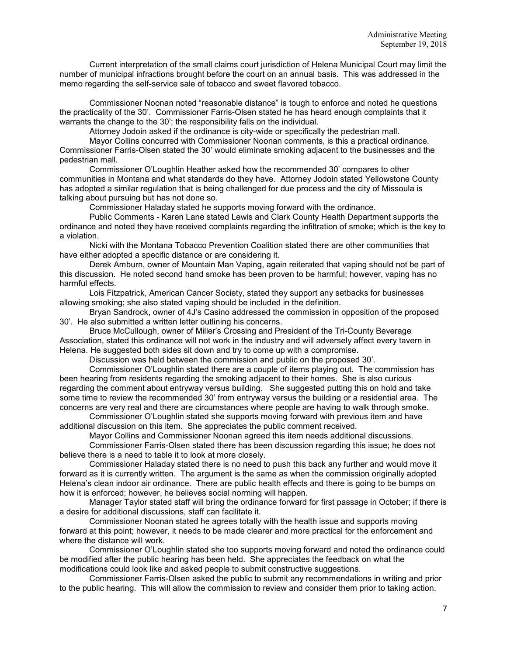Current interpretation of the small claims court jurisdiction of Helena Municipal Court may limit the number of municipal infractions brought before the court on an annual basis. This was addressed in the memo regarding the self-service sale of tobacco and sweet flavored tobacco.

Commissioner Noonan noted "reasonable distance" is tough to enforce and noted he questions the practicality of the 30'. Commissioner Farris-Olsen stated he has heard enough complaints that it warrants the change to the 30'; the responsibility falls on the individual.

Attorney Jodoin asked if the ordinance is city-wide or specifically the pedestrian mall.

Mayor Collins concurred with Commissioner Noonan comments, is this a practical ordinance. Commissioner Farris-Olsen stated the 30' would eliminate smoking adjacent to the businesses and the pedestrian mall.

Commissioner O'Loughlin Heather asked how the recommended 30' compares to other communities in Montana and what standards do they have. Attorney Jodoin stated Yellowstone County has adopted a similar regulation that is being challenged for due process and the city of Missoula is talking about pursuing but has not done so.

Commissioner Haladay stated he supports moving forward with the ordinance.

Public Comments - Karen Lane stated Lewis and Clark County Health Department supports the ordinance and noted they have received complaints regarding the infiltration of smoke; which is the key to a violation.

Nicki with the Montana Tobacco Prevention Coalition stated there are other communities that have either adopted a specific distance or are considering it.

Derek Amburn, owner of Mountain Man Vaping, again reiterated that vaping should not be part of this discussion. He noted second hand smoke has been proven to be harmful; however, vaping has no harmful effects.

Lois Fitzpatrick, American Cancer Society, stated they support any setbacks for businesses allowing smoking; she also stated vaping should be included in the definition.

Bryan Sandrock, owner of 4J's Casino addressed the commission in opposition of the proposed 30'. He also submitted a written letter outlining his concerns.

Bruce McCullough, owner of Miller's Crossing and President of the Tri-County Beverage Association, stated this ordinance will not work in the industry and will adversely affect every tavern in Helena. He suggested both sides sit down and try to come up with a compromise.

Discussion was held between the commission and public on the proposed 30'.

Commissioner O'Loughlin stated there are a couple of items playing out. The commission has been hearing from residents regarding the smoking adjacent to their homes. She is also curious regarding the comment about entryway versus building. She suggested putting this on hold and take some time to review the recommended 30' from entryway versus the building or a residential area. The concerns are very real and there are circumstances where people are having to walk through smoke.

Commissioner O'Loughlin stated she supports moving forward with previous item and have additional discussion on this item. She appreciates the public comment received.

Mayor Collins and Commissioner Noonan agreed this item needs additional discussions. Commissioner Farris-Olsen stated there has been discussion regarding this issue; he does not believe there is a need to table it to look at more closely.

Commissioner Haladay stated there is no need to push this back any further and would move it forward as it is currently written. The argument is the same as when the commission originally adopted Helena's clean indoor air ordinance. There are public health effects and there is going to be bumps on how it is enforced; however, he believes social norming will happen.

Manager Taylor stated staff will bring the ordinance forward for first passage in October; if there is a desire for additional discussions, staff can facilitate it.

Commissioner Noonan stated he agrees totally with the health issue and supports moving forward at this point; however, it needs to be made clearer and more practical for the enforcement and where the distance will work.

Commissioner O'Loughlin stated she too supports moving forward and noted the ordinance could be modified after the public hearing has been held. She appreciates the feedback on what the modifications could look like and asked people to submit constructive suggestions.

Commissioner Farris-Olsen asked the public to submit any recommendations in writing and prior to the public hearing. This will allow the commission to review and consider them prior to taking action.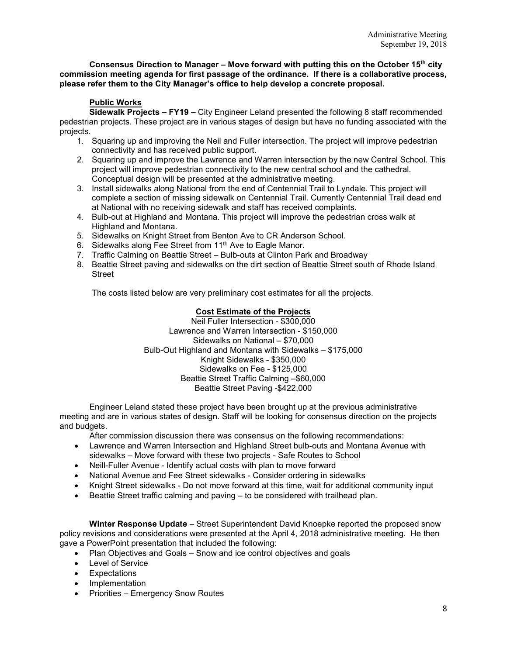**Consensus Direction to Manager – Move forward with putting this on the October 15th city commission meeting agenda for first passage of the ordinance. If there is a collaborative process, please refer them to the City Manager's office to help develop a concrete proposal.** 

# **Public Works**

**Sidewalk Projects – FY19 –** City Engineer Leland presented the following 8 staff recommended pedestrian projects. These project are in various stages of design but have no funding associated with the projects.

- 1. Squaring up and improving the Neil and Fuller intersection. The project will improve pedestrian connectivity and has received public support.
- 2. Squaring up and improve the Lawrence and Warren intersection by the new Central School. This project will improve pedestrian connectivity to the new central school and the cathedral. Conceptual design will be presented at the administrative meeting.
- 3. Install sidewalks along National from the end of Centennial Trail to Lyndale. This project will complete a section of missing sidewalk on Centennial Trail. Currently Centennial Trail dead end at National with no receiving sidewalk and staff has received complaints.
- 4. Bulb-out at Highland and Montana. This project will improve the pedestrian cross walk at Highland and Montana.
- 5. Sidewalks on Knight Street from Benton Ave to CR Anderson School.
- 6. Sidewalks along Fee Street from 11<sup>th</sup> Ave to Eagle Manor.
- 7. Traffic Calming on Beattie Street Bulb-outs at Clinton Park and Broadway
- 8. Beattie Street paving and sidewalks on the dirt section of Beattie Street south of Rhode Island Street

The costs listed below are very preliminary cost estimates for all the projects.

# **Cost Estimate of the Projects**

Neil Fuller Intersection - \$300,000 Lawrence and Warren Intersection - \$150,000 Sidewalks on National – \$70,000 Bulb-Out Highland and Montana with Sidewalks – \$175,000 Knight Sidewalks - \$350,000 Sidewalks on Fee - \$125,000 Beattie Street Traffic Calming –\$60,000 Beattie Street Paving -\$422,000

Engineer Leland stated these project have been brought up at the previous administrative meeting and are in various states of design. Staff will be looking for consensus direction on the projects and budgets.

After commission discussion there was consensus on the following recommendations:

- Lawrence and Warren Intersection and Highland Street bulb-outs and Montana Avenue with sidewalks – Move forward with these two projects - Safe Routes to School
- Neill-Fuller Avenue Identify actual costs with plan to move forward
- National Avenue and Fee Street sidewalks Consider ordering in sidewalks
- Knight Street sidewalks Do not move forward at this time, wait for additional community input
- Beattie Street traffic calming and paving to be considered with trailhead plan.

**Winter Response Update** – Street Superintendent David Knoepke reported the proposed snow policy revisions and considerations were presented at the April 4, 2018 administrative meeting. He then gave a PowerPoint presentation that included the following:

- Plan Objectives and Goals Snow and ice control objectives and goals
- Level of Service
- Expectations
- Implementation
- Priorities Emergency Snow Routes